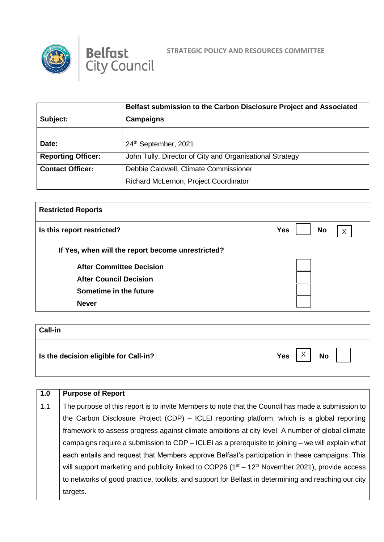



|                           | Belfast submission to the Carbon Disclosure Project and Associated |  |
|---------------------------|--------------------------------------------------------------------|--|
| Subject:                  | <b>Campaigns</b>                                                   |  |
|                           |                                                                    |  |
| Date:                     | 24th September, 2021                                               |  |
| <b>Reporting Officer:</b> | John Tully, Director of City and Organisational Strategy           |  |
| <b>Contact Officer:</b>   | Debbie Caldwell, Climate Commissioner                              |  |
|                           | Richard McLernon, Project Coordinator                              |  |

| <b>Restricted Reports</b>                         |                              |  |
|---------------------------------------------------|------------------------------|--|
| Is this report restricted?                        | <b>Yes</b><br><b>No</b><br>X |  |
| If Yes, when will the report become unrestricted? |                              |  |
| <b>After Committee Decision</b>                   |                              |  |
| <b>After Council Decision</b>                     |                              |  |
| Sometime in the future                            |                              |  |
| <b>Never</b>                                      |                              |  |
|                                                   |                              |  |

| <b>Call-in</b>                        |                  |
|---------------------------------------|------------------|
| Is the decision eligible for Call-in? | Yes $ X $ No $ $ |

| 1.0 | <b>Purpose of Report</b>                                                                             |
|-----|------------------------------------------------------------------------------------------------------|
| 1.1 | The purpose of this report is to invite Members to note that the Council has made a submission to    |
|     | the Carbon Disclosure Project (CDP) - ICLEI reporting platform, which is a global reporting          |
|     | framework to assess progress against climate ambitions at city level. A number of global climate     |
|     | campaigns require a submission to $CDP - ICLEI$ as a prerequisite to joining – we will explain what  |
|     | each entails and request that Members approve Belfast's participation in these campaigns. This       |
|     | will support marketing and publicity linked to COP26 ( $1st - 12th$ November 2021), provide access   |
|     | to networks of good practice, toolkits, and support for Belfast in determining and reaching our city |
|     | targets.                                                                                             |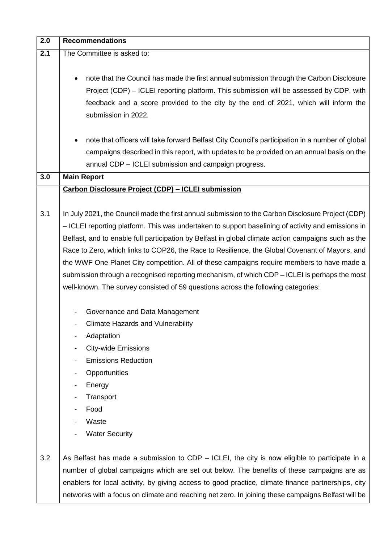| 2.0 | <b>Recommendations</b>                                                                              |
|-----|-----------------------------------------------------------------------------------------------------|
| 2.1 | The Committee is asked to:                                                                          |
|     |                                                                                                     |
|     | note that the Council has made the first annual submission through the Carbon Disclosure            |
|     | Project (CDP) – ICLEI reporting platform. This submission will be assessed by CDP, with             |
|     | feedback and a score provided to the city by the end of 2021, which will inform the                 |
|     | submission in 2022.                                                                                 |
|     |                                                                                                     |
|     | note that officers will take forward Belfast City Council's participation in a number of global     |
|     | campaigns described in this report, with updates to be provided on an annual basis on the           |
|     | annual CDP - ICLEI submission and campaign progress.                                                |
| 3.0 | <b>Main Report</b>                                                                                  |
|     | <b>Carbon Disclosure Project (CDP) - ICLEI submission</b>                                           |
|     |                                                                                                     |
| 3.1 | In July 2021, the Council made the first annual submission to the Carbon Disclosure Project (CDP)   |
|     | - ICLEI reporting platform. This was undertaken to support baselining of activity and emissions in  |
|     | Belfast, and to enable full participation by Belfast in global climate action campaigns such as the |
|     | Race to Zero, which links to COP26, the Race to Resilience, the Global Covenant of Mayors, and      |
|     | the WWF One Planet City competition. All of these campaigns require members to have made a          |
|     | submission through a recognised reporting mechanism, of which CDP – ICLEI is perhaps the most       |
|     | well-known. The survey consisted of 59 questions across the following categories:                   |
|     |                                                                                                     |
|     | Governance and Data Management                                                                      |
|     | <b>Climate Hazards and Vulnerability</b>                                                            |
|     | Adaptation                                                                                          |
|     | <b>City-wide Emissions</b>                                                                          |
|     | <b>Emissions Reduction</b>                                                                          |
|     | Opportunities                                                                                       |
|     | Energy                                                                                              |
|     | Transport                                                                                           |
|     | Food                                                                                                |
|     | Waste                                                                                               |
|     | <b>Water Security</b>                                                                               |
|     |                                                                                                     |
| 3.2 | As Belfast has made a submission to CDP $-$ ICLEI, the city is now eligible to participate in a     |
|     | number of global campaigns which are set out below. The benefits of these campaigns are as          |
|     | enablers for local activity, by giving access to good practice, climate finance partnerships, city  |
|     | networks with a focus on climate and reaching net zero. In joining these campaigns Belfast will be  |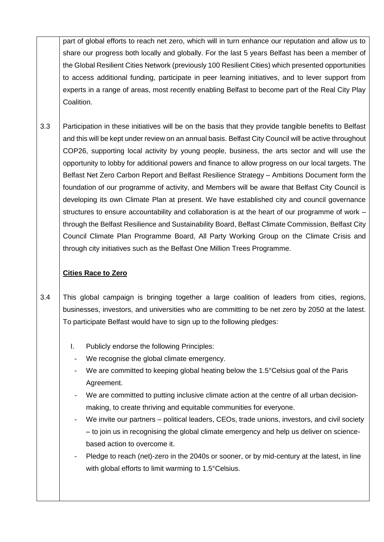part of global efforts to reach net zero, which will in turn enhance our reputation and allow us to share our progress both locally and globally. For the last 5 years Belfast has been a member of the Global Resilient Cities Network (previously 100 Resilient Cities) which presented opportunities to access additional funding, participate in peer learning initiatives, and to lever support from experts in a range of areas, most recently enabling Belfast to become part of the Real City Play Coalition.

3.3 Participation in these initiatives will be on the basis that they provide tangible benefits to Belfast and this will be kept under review on an annual basis. Belfast City Council will be active throughout COP26, supporting local activity by young people, business, the arts sector and will use the opportunity to lobby for additional powers and finance to allow progress on our local targets. The Belfast Net Zero Carbon Report and Belfast Resilience Strategy – Ambitions Document form the foundation of our programme of activity, and Members will be aware that Belfast City Council is developing its own Climate Plan at present. We have established city and council governance structures to ensure accountability and collaboration is at the heart of our programme of work – through the Belfast Resilience and Sustainability Board, Belfast Climate Commission, Belfast City Council Climate Plan Programme Board, All Party Working Group on the Climate Crisis and through city initiatives such as the Belfast One Million Trees Programme.

## **Cities Race to Zero**

3.4 This global campaign is bringing together a large coalition of leaders from cities, regions, businesses, investors, and universities who are committing to be net zero by 2050 at the latest. To participate Belfast would have to sign up to the following pledges:

- I. Publicly endorse the following Principles:
- We recognise the global climate emergency.
- We are committed to keeping global heating below the 1.5°Celsius goal of the Paris Agreement.
- We are committed to putting inclusive climate action at the centre of all urban decisionmaking, to create thriving and equitable communities for everyone.
- We invite our partners political leaders, CEOs, trade unions, investors, and civil society – to join us in recognising the global climate emergency and help us deliver on sciencebased action to overcome it.
- Pledge to reach (net)-zero in the 2040s or sooner, or by mid-century at the latest, in line with global efforts to limit warming to 1.5°Celsius.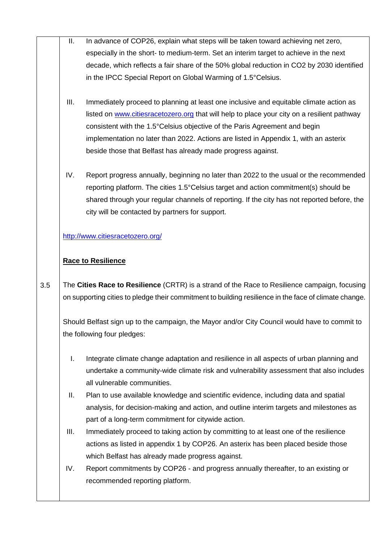- II. In advance of COP26, explain what steps will be taken toward achieving net zero, especially in the short- to medium-term. Set an interim target to achieve in the next decade, which reflects a fair share of the 50% global reduction in CO2 by 2030 identified in the IPCC Special Report on Global Warming of 1.5°Celsius.
- III. Immediately proceed to planning at least one inclusive and equitable climate action as listed on [www.citiesracetozero.org](http://www.citiesracetozero.org/) that will help to place your city on a resilient pathway consistent with the 1.5°Celsius objective of the Paris Agreement and begin implementation no later than 2022. Actions are listed in Appendix 1, with an asterix beside those that Belfast has already made progress against.
- IV. Report progress annually, beginning no later than 2022 to the usual or the recommended reporting platform. The cities 1.5°Celsius target and action commitment(s) should be shared through your regular channels of reporting. If the city has not reported before, the city will be contacted by partners for support.

[http://www.citiesracetozero.org/](https://protect-eu.mimecast.com/s/eqcqC3w9Zsmxo0ATgbAt0?domain=citiesracetozero.org/)

## **Race to Resilience**

3.5 The **Cities Race to Resilience** (CRTR) is a strand of the Race to Resilience campaign, focusing on supporting cities to pledge their commitment to building resilience in the face of climate change.

Should Belfast sign up to the campaign, the Mayor and/or City Council would have to commit to the following four pledges:

- I. Integrate climate change adaptation and resilience in all aspects of urban planning and undertake a community-wide climate risk and vulnerability assessment that also includes all vulnerable communities.
- II. Plan to use available knowledge and scientific evidence, including data and spatial analysis, for decision-making and action, and outline interim targets and milestones as part of a long-term commitment for citywide action.
- III. Immediately proceed to taking action by committing to at least one of the resilience actions as listed in appendix 1 by COP26. An asterix has been placed beside those which Belfast has already made progress against.
- IV. Report commitments by COP26 and progress annually thereafter, to an existing or recommended reporting platform.